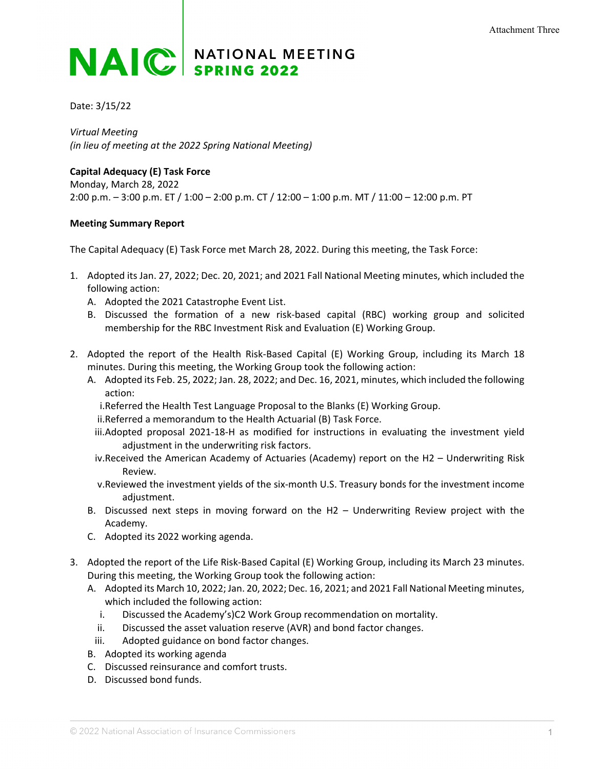## **NAIC** SPRING 2022

Date: 3/15/22

*Virtual Meeting (in lieu of meeting at the 2022 Spring National Meeting)*

**Capital Adequacy (E) Task Force** Monday, March 28, 2022 2:00 p.m. – 3:00 p.m. ET / 1:00 – 2:00 p.m. CT / 12:00 – 1:00 p.m. MT / 11:00 – 12:00 p.m. PT

## **Meeting Summary Report**

The Capital Adequacy (E) Task Force met March 28, 2022. During this meeting, the Task Force:

- 1. Adopted its Jan. 27, 2022; Dec. 20, 2021; and 2021 Fall National Meeting minutes, which included the following action:
	- A. Adopted the 2021 Catastrophe Event List.
	- B. Discussed the formation of a new risk-based capital (RBC) working group and solicited membership for the RBC Investment Risk and Evaluation (E) Working Group.
- 2. Adopted the report of the Health Risk-Based Capital (E) Working Group, including its March 18 minutes. During this meeting, the Working Group took the following action:
	- A. Adopted its Feb. 25, 2022; Jan. 28, 2022; and Dec. 16, 2021, minutes, which included the following action:
		- i.Referred the Health Test Language Proposal to the Blanks (E) Working Group.
		- ii.Referred a memorandum to the Health Actuarial (B) Task Force.
		- iii.Adopted proposal 2021-18-H as modified for instructions in evaluating the investment yield adjustment in the underwriting risk factors.
		- iv.Received the American Academy of Actuaries (Academy) report on the H2 Underwriting Risk Review.
		- v.Reviewed the investment yields of the six-month U.S. Treasury bonds for the investment income adjustment.
	- B. Discussed next steps in moving forward on the H2 Underwriting Review project with the Academy.
	- C. Adopted its 2022 working agenda.
- 3. Adopted the report of the Life Risk-Based Capital (E) Working Group, including its March 23 minutes. During this meeting, the Working Group took the following action:
	- A. Adopted its March 10, 2022; Jan. 20, 2022; Dec. 16, 2021; and 2021 Fall National Meeting minutes, which included the following action:
		- i. Discussed the Academy's)C2 Work Group recommendation on mortality.
		- ii. Discussed the asset valuation reserve (AVR) and bond factor changes.
	- iii. Adopted guidance on bond factor changes.
	- B. Adopted its working agenda
	- C. Discussed reinsurance and comfort trusts.
	- D. Discussed bond funds.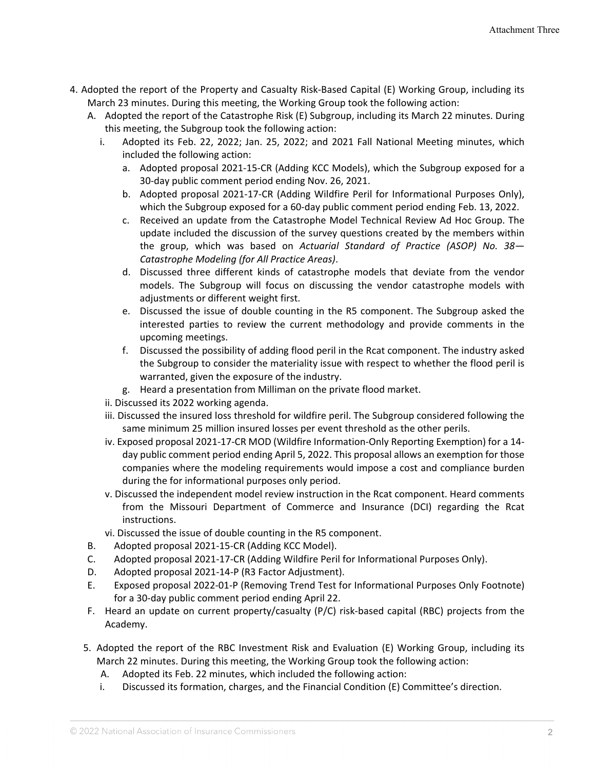- 4. Adopted the report of the Property and Casualty Risk-Based Capital (E) Working Group, including its March 23 minutes. During this meeting, the Working Group took the following action:
	- A. Adopted the report of the Catastrophe Risk (E) Subgroup, including its March 22 minutes. During this meeting, the Subgroup took the following action:
		- i. Adopted its Feb. 22, 2022; Jan. 25, 2022; and 2021 Fall National Meeting minutes, which included the following action:
			- a. Adopted proposal 2021-15-CR (Adding KCC Models), which the Subgroup exposed for a 30-day public comment period ending Nov. 26, 2021.
			- b. Adopted proposal 2021-17-CR (Adding Wildfire Peril for Informational Purposes Only), which the Subgroup exposed for a 60-day public comment period ending Feb. 13, 2022.
			- c. Received an update from the Catastrophe Model Technical Review Ad Hoc Group. The update included the discussion of the survey questions created by the members within the group, which was based on *Actuarial Standard of Practice (ASOP) No. 38— Catastrophe Modeling (for All Practice Areas)*.
			- d. Discussed three different kinds of catastrophe models that deviate from the vendor models. The Subgroup will focus on discussing the vendor catastrophe models with adjustments or different weight first.
			- e. Discussed the issue of double counting in the R5 component. The Subgroup asked the interested parties to review the current methodology and provide comments in the upcoming meetings.
			- f. Discussed the possibility of adding flood peril in the Rcat component. The industry asked the Subgroup to consider the materiality issue with respect to whether the flood peril is warranted, given the exposure of the industry.
			- g. Heard a presentation from Milliman on the private flood market.
			- ii. Discussed its 2022 working agenda.
			- iii. Discussed the insured loss threshold for wildfire peril. The Subgroup considered following the same minimum 25 million insured losses per event threshold as the other perils.
			- iv. Exposed proposal 2021-17-CR MOD (Wildfire Information-Only Reporting Exemption) for a 14 day public comment period ending April 5, 2022. This proposal allows an exemption for those companies where the modeling requirements would impose a cost and compliance burden during the for informational purposes only period.
		- v. Discussed the independent model review instruction in the Rcat component. Heard comments from the Missouri Department of Commerce and Insurance (DCI) regarding the Rcat instructions.
		- vi. Discussed the issue of double counting in the R5 component.
	- B. Adopted proposal 2021-15-CR (Adding KCC Model).
	- C. Adopted proposal 2021-17-CR (Adding Wildfire Peril for Informational Purposes Only).
	- D. Adopted proposal 2021-14-P (R3 Factor Adjustment).
	- E. Exposed proposal 2022-01-P (Removing Trend Test for Informational Purposes Only Footnote) for a 30-day public comment period ending April 22.
	- F. Heard an update on current property/casualty (P/C) risk-based capital (RBC) projects from the Academy.
	- 5. Adopted the report of the RBC Investment Risk and Evaluation (E) Working Group, including its March 22 minutes. During this meeting, the Working Group took the following action:
		- A. Adopted its Feb. 22 minutes, which included the following action:
		- i. Discussed its formation, charges, and the Financial Condition (E) Committee's direction.